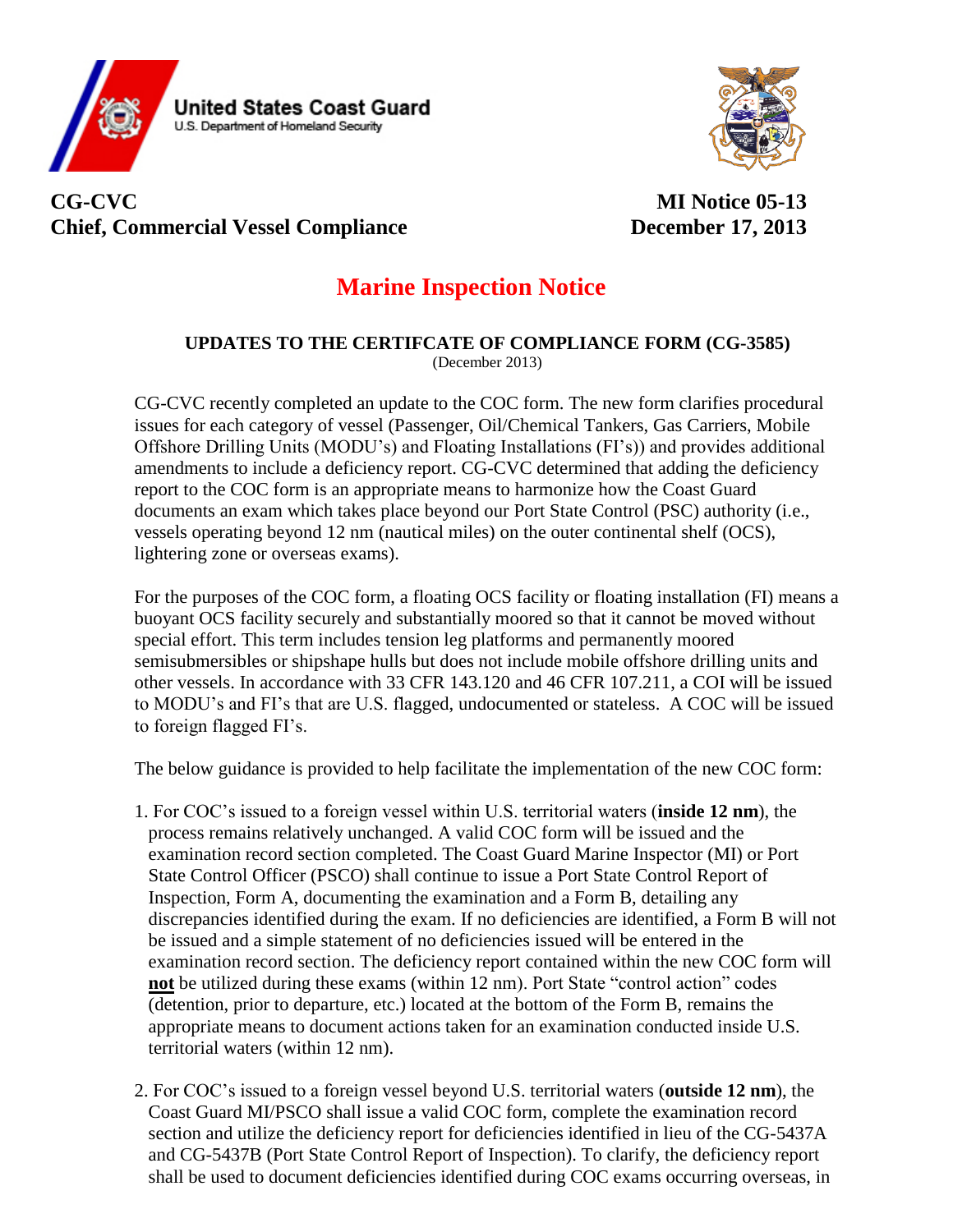

## **CG-CVC MI Notice 05-13 Chief, Commercial Vessel Compliance December** 17, 2013

## **Marine Inspection Notice**

## **UPDATES TO THE CERTIFCATE OF COMPLIANCE FORM (CG-3585)** (December 2013)

CG-CVC recently completed an update to the COC form. The new form clarifies procedural issues for each category of vessel (Passenger, Oil/Chemical Tankers, Gas Carriers, Mobile Offshore Drilling Units (MODU's) and Floating Installations (FI's)) and provides additional amendments to include a deficiency report. CG-CVC determined that adding the deficiency report to the COC form is an appropriate means to harmonize how the Coast Guard documents an exam which takes place beyond our Port State Control (PSC) authority (i.e., vessels operating beyond 12 nm (nautical miles) on the outer continental shelf (OCS), lightering zone or overseas exams).

For the purposes of the COC form, a floating OCS facility or floating installation (FI) means a buoyant OCS facility securely and substantially moored so that it cannot be moved without special effort. This term includes tension leg platforms and permanently moored semisubmersibles or shipshape hulls but does not include mobile offshore drilling units and other vessels. In accordance with 33 CFR 143.120 and 46 CFR 107.211, a COI will be issued to MODU's and FI's that are U.S. flagged, undocumented or stateless. A COC will be issued to foreign flagged FI's.

The below guidance is provided to help facilitate the implementation of the new COC form:

- 1. For COC's issued to a foreign vessel within U.S. territorial waters (**inside 12 nm**), the process remains relatively unchanged. A valid COC form will be issued and the examination record section completed. The Coast Guard Marine Inspector (MI) or Port State Control Officer (PSCO) shall continue to issue a Port State Control Report of Inspection, Form A, documenting the examination and a Form B, detailing any discrepancies identified during the exam. If no deficiencies are identified, a Form B will not be issued and a simple statement of no deficiencies issued will be entered in the examination record section. The deficiency report contained within the new COC form will **not** be utilized during these exams (within 12 nm). Port State "control action" codes (detention, prior to departure, etc.) located at the bottom of the Form B, remains the appropriate means to document actions taken for an examination conducted inside U.S. territorial waters (within 12 nm).
- 2. For COC's issued to a foreign vessel beyond U.S. territorial waters (**outside 12 nm**), the Coast Guard MI/PSCO shall issue a valid COC form, complete the examination record section and utilize the deficiency report for deficiencies identified in lieu of the CG-5437A and CG-5437B (Port State Control Report of Inspection). To clarify, the deficiency report shall be used to document deficiencies identified during COC exams occurring overseas, in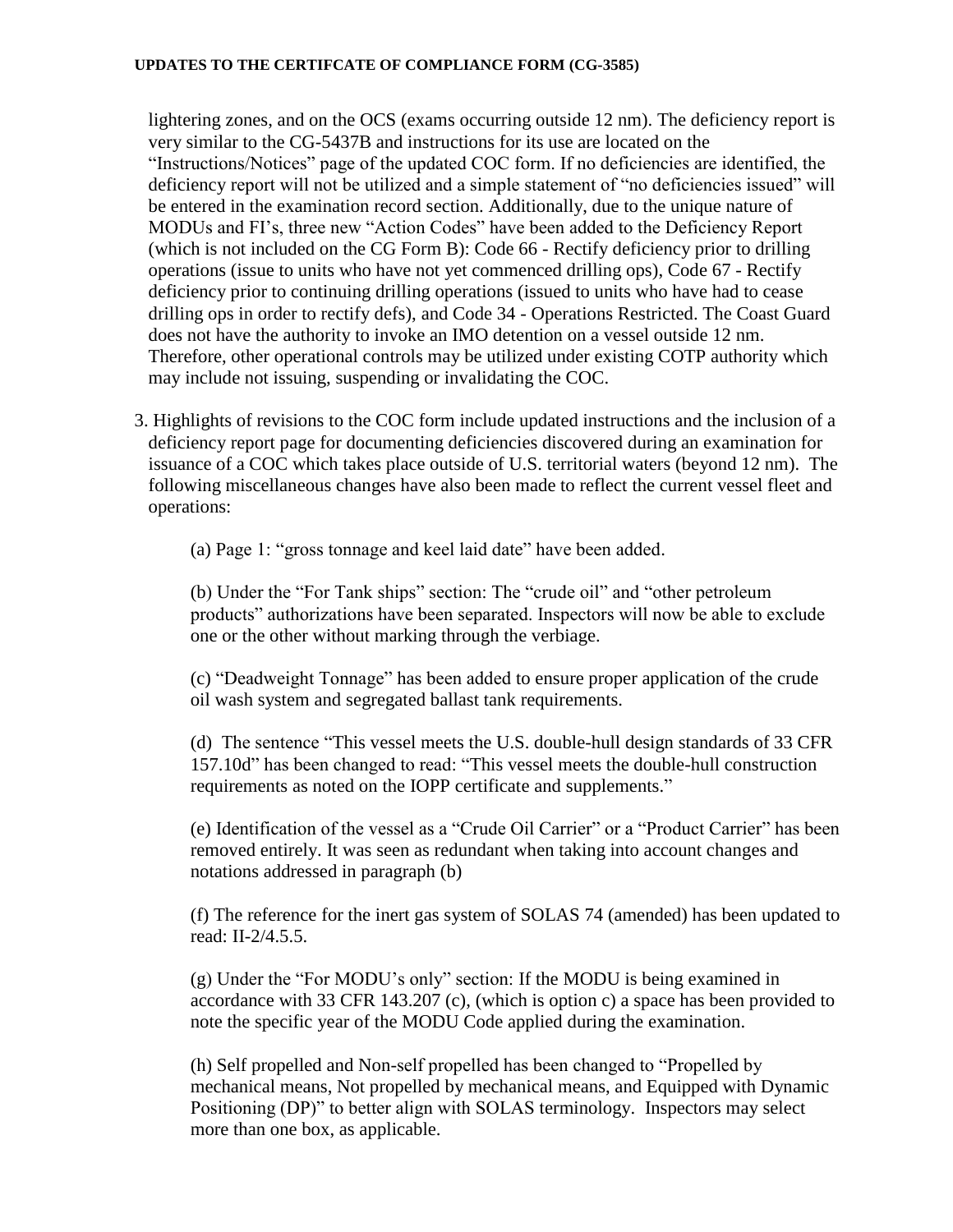## **UPDATES TO THE CERTIFCATE OF COMPLIANCE FORM (CG-3585)**

lightering zones, and on the OCS (exams occurring outside 12 nm). The deficiency report is very similar to the CG-5437B and instructions for its use are located on the "Instructions/Notices" page of the updated COC form. If no deficiencies are identified, the deficiency report will not be utilized and a simple statement of "no deficiencies issued" will be entered in the examination record section. Additionally, due to the unique nature of MODUs and FI's, three new "Action Codes" have been added to the Deficiency Report (which is not included on the CG Form B): Code 66 - Rectify deficiency prior to drilling operations (issue to units who have not yet commenced drilling ops), Code 67 - Rectify deficiency prior to continuing drilling operations (issued to units who have had to cease drilling ops in order to rectify defs), and Code 34 - Operations Restricted. The Coast Guard does not have the authority to invoke an IMO detention on a vessel outside 12 nm. Therefore, other operational controls may be utilized under existing COTP authority which may include not issuing, suspending or invalidating the COC.

3. Highlights of revisions to the COC form include updated instructions and the inclusion of a deficiency report page for documenting deficiencies discovered during an examination for issuance of a COC which takes place outside of U.S. territorial waters (beyond 12 nm). The following miscellaneous changes have also been made to reflect the current vessel fleet and operations:

(a) Page 1: "gross tonnage and keel laid date" have been added.

(b) Under the "For Tank ships" section: The "crude oil" and "other petroleum products" authorizations have been separated. Inspectors will now be able to exclude one or the other without marking through the verbiage.

(c) "Deadweight Tonnage" has been added to ensure proper application of the crude oil wash system and segregated ballast tank requirements.

(d) The sentence "This vessel meets the U.S. double-hull design standards of 33 CFR 157.10d" has been changed to read: "This vessel meets the double-hull construction requirements as noted on the IOPP certificate and supplements."

(e) Identification of the vessel as a "Crude Oil Carrier" or a "Product Carrier" has been removed entirely. It was seen as redundant when taking into account changes and notations addressed in paragraph (b)

(f) The reference for the inert gas system of SOLAS 74 (amended) has been updated to read: II-2/4.5.5.

(g) Under the "For MODU's only" section: If the MODU is being examined in accordance with 33 CFR 143.207 (c), (which is option c) a space has been provided to note the specific year of the MODU Code applied during the examination.

(h) Self propelled and Non-self propelled has been changed to "Propelled by mechanical means, Not propelled by mechanical means, and Equipped with Dynamic Positioning (DP)" to better align with SOLAS terminology. Inspectors may select more than one box, as applicable.